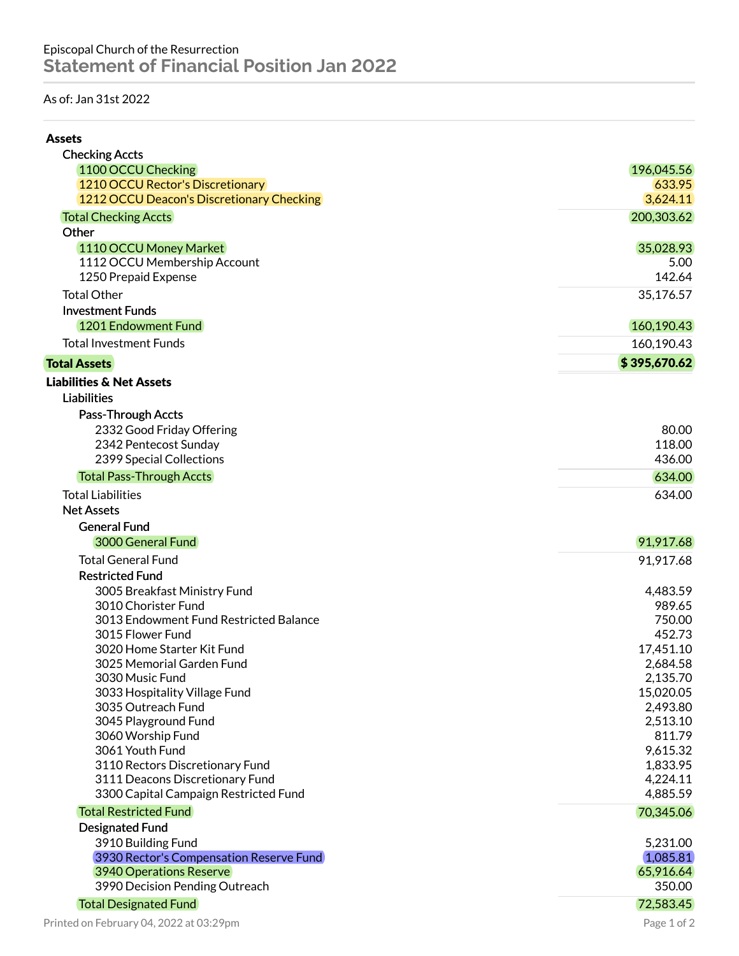## As of: Jan 31st 2022

| <b>Assets</b>                             |              |
|-------------------------------------------|--------------|
| <b>Checking Accts</b>                     |              |
| 1100 OCCU Checking                        | 196,045.56   |
| 1210 OCCU Rector's Discretionary          | 633.95       |
| 1212 OCCU Deacon's Discretionary Checking | 3,624.11     |
| <b>Total Checking Accts</b>               | 200,303.62   |
| Other                                     |              |
| 1110 OCCU Money Market                    | 35,028.93    |
| 1112 OCCU Membership Account              | 5.00         |
| 1250 Prepaid Expense                      | 142.64       |
| <b>Total Other</b>                        | 35,176.57    |
| <b>Investment Funds</b>                   |              |
| 1201 Endowment Fund                       | 160,190.43   |
| <b>Total Investment Funds</b>             | 160,190.43   |
| <b>Total Assets</b>                       | \$395,670.62 |
| <b>Liabilities &amp; Net Assets</b>       |              |
| <b>Liabilities</b>                        |              |
| Pass-Through Accts                        |              |
| 2332 Good Friday Offering                 | 80.00        |
| 2342 Pentecost Sunday                     | 118.00       |
| 2399 Special Collections                  | 436.00       |
| <b>Total Pass-Through Accts</b>           | 634.00       |
| <b>Total Liabilities</b>                  | 634.00       |
| <b>Net Assets</b>                         |              |
| <b>General Fund</b>                       |              |
| 3000 General Fund                         | 91,917.68    |
| <b>Total General Fund</b>                 | 91,917.68    |
| <b>Restricted Fund</b>                    |              |
| 3005 Breakfast Ministry Fund              | 4,483.59     |
| 3010 Chorister Fund                       | 989.65       |
| 3013 Endowment Fund Restricted Balance    | 750.00       |
| 3015 Flower Fund                          | 452.73       |
| 3020 Home Starter Kit Fund                | 17,451.10    |
| 3025 Memorial Garden Fund                 | 2,684.58     |
| 3030 Music Fund                           | 2,135.70     |
| 3033 Hospitality Village Fund             | 15,020.05    |
| 3035 Outreach Fund                        | 2,493.80     |
| 3045 Playground Fund                      | 2,513.10     |
| 3060 Worship Fund                         | 811.79       |
| 3061 Youth Fund                           | 9,615.32     |
| 3110 Rectors Discretionary Fund           | 1,833.95     |
| 3111 Deacons Discretionary Fund           | 4,224.11     |
| 3300 Capital Campaign Restricted Fund     | 4,885.59     |
| <b>Total Restricted Fund</b>              | 70,345.06    |
| <b>Designated Fund</b>                    |              |
| 3910 Building Fund                        | 5,231.00     |
| 3930 Rector's Compensation Reserve Fund   | 1,085.81     |
| 3940 Operations Reserve                   | 65,916.64    |
| 3990 Decision Pending Outreach            | 350.00       |
| <b>Total Designated Fund</b>              | 72,583.45    |
| Printed on February 04, 2022 at 03:29pm   | Page 1 of 2  |